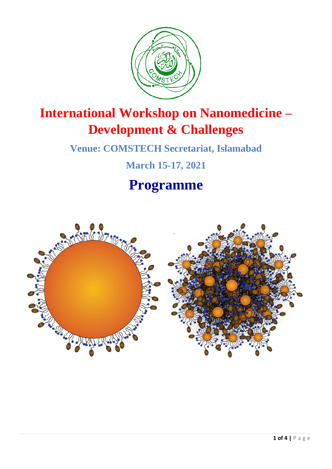

# **International Workshop on Nanomedicine – Development & Challenges**

## **Venue: COMSTECH Secretariat, Islamabad**

# **Programme**

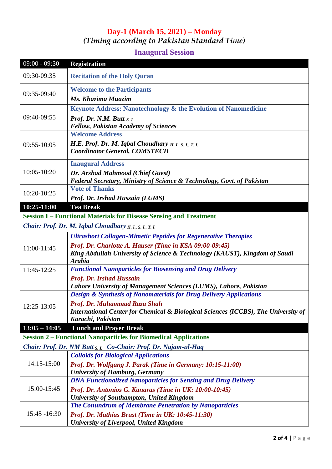#### **Day-1 (March 15, 2021) – Monday** *(Timing according to Pakistan Standard Time)*

### **Inaugural Session**

| $09:00 - 09:30$ | <b>Registration</b>                                                                                                                                    |
|-----------------|--------------------------------------------------------------------------------------------------------------------------------------------------------|
| 09:30-09:35     | <b>Recitation of the Holy Quran</b>                                                                                                                    |
| 09:35-09:40     | <b>Welcome to the Participants</b>                                                                                                                     |
|                 | Ms. Khazima Muazim                                                                                                                                     |
| 09:40-09:55     | Keynote Address: Nanotechnology & the Evolution of Nanomedicine                                                                                        |
|                 | Prof. Dr. N.M. Butt $S. I.$<br><b>Fellow, Pakistan Academy of Sciences</b>                                                                             |
| 09:55-10:05     | <b>Welcome Address</b>                                                                                                                                 |
|                 | H.E. Prof. Dr. M. Iqbal Choudhary $H, I, S, I, T, I$ .<br><b>Coordinator General, COMSTECH</b>                                                         |
| $10:05 - 10:20$ | <b>Inaugural Address</b>                                                                                                                               |
|                 | Dr. Arshad Mahmood (Chief Guest)                                                                                                                       |
|                 | Federal Secretary, Ministry of Science & Technology, Govt. of Pakistan                                                                                 |
| 10:20-10:25     | <b>Vote of Thanks</b>                                                                                                                                  |
|                 | Prof. Dr. Irshad Hussain (LUMS)                                                                                                                        |
| 10:25-11:00     | <b>Tea Break</b>                                                                                                                                       |
|                 | <b>Session I – Functional Materials for Disease Sensing and Treatment</b>                                                                              |
|                 | Chair: Prof. Dr. M. Iqbal Choudhary H. I., S. I., T. I.                                                                                                |
|                 | <b>Ultrashort Collagen-Mimetic Peptides for Regenerative Therapies</b>                                                                                 |
| 11:00-11:45     | Prof. Dr. Charlotte A. Hauser (Time in KSA 09:00-09:45)<br>King Abdullah University of Science & Technology (KAUST), Kingdom of Saudi<br><b>Arabia</b> |
| 11:45-12:25     | <b>Functional Nanoparticles for Biosensing and Drug Delivery</b>                                                                                       |
|                 | <b>Prof. Dr. Irshad Hussain</b>                                                                                                                        |
|                 | Lahore University of Management Sciences (LUMS), Lahore, Pakistan                                                                                      |
|                 | <b>Design &amp; Synthesis of Nanomaterials for Drug Delivery Applications</b>                                                                          |
| 12:25-13:05     | Prof. Dr. Muhammad Raza Shah                                                                                                                           |
|                 | International Center for Chemical & Biological Sciences (ICCBS), The University of                                                                     |
|                 | Karachi, Pakistan                                                                                                                                      |
| $13:05 - 14:05$ | <b>Lunch and Prayer Break</b>                                                                                                                          |
|                 | <b>Session 2 – Functional Nanoparticles for Biomedical Applications</b>                                                                                |
|                 | Chair: Prof. Dr. NM Butt <sub>S. I.</sub> Co-Chair: Prof. Dr. Najam-ul-Haq                                                                             |
| 14:15-15:00     | <b>Colloids for Biological Applications</b>                                                                                                            |
|                 | Prof. Dr. Wolfgang J. Parak (Time in Germany: 10:15-11:00)<br><b>University of Hamburg, Germany</b>                                                    |
| 15:00-15:45     | <b>DNA Functionalized Nanoparticles for Sensing and Drug Delivery</b>                                                                                  |
|                 | Prof. Dr. Antonios G. Kanaras (Time in UK: 10:00-10:45)                                                                                                |
|                 | <b>University of Southampton, United Kingdom</b>                                                                                                       |
| $15:45 - 16:30$ | <b>The Conundrum of Membrane Penetration by Nanoparticles</b>                                                                                          |
|                 | Prof. Dr. Mathias Brust (Time in UK: 10:45-11:30)                                                                                                      |
|                 | University of Liverpool, United Kingdom                                                                                                                |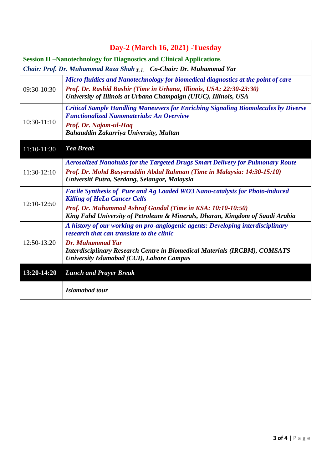| Day-2 (March 16, 2021) -Tuesday                                                 |                                                                                                                                               |  |
|---------------------------------------------------------------------------------|-----------------------------------------------------------------------------------------------------------------------------------------------|--|
| <b>Session II -Nanotechnology for Diagnostics and Clinical Applications</b>     |                                                                                                                                               |  |
| Chair: Prof. Dr. Muhammad Raza Shah <sub>T. I.</sub> Co-Chair: Dr. Muhammad Yar |                                                                                                                                               |  |
| 09:30-10:30                                                                     | Micro fluidics and Nanotechnology for biomedical diagnostics at the point of care                                                             |  |
|                                                                                 | Prof. Dr. Rashid Bashir (Time in Urbana, Illinois, USA: 22:30-23:30)<br>University of Illinois at Urbana Champaign (UIUC), Illinois, USA      |  |
| $10:30-11:10$                                                                   | <b>Critical Sample Handling Maneuvers for Enriching Signaling Biomolecules by Diverse</b><br><b>Functionalized Nanomaterials: An Overview</b> |  |
|                                                                                 | Prof. Dr. Najam-ul-Haq<br>Bahauddin Zakarriya University, Multan                                                                              |  |
| $11:10-11:30$                                                                   | <b>Tea Break</b>                                                                                                                              |  |
| $11:30-12:10$                                                                   | <b>Aerosolized Nanohubs for the Targeted Drugs Smart Delivery for Pulmonary Route</b>                                                         |  |
|                                                                                 | Prof. Dr. Mohd Basyaruddin Abdul Rahman (Time in Malaysia: 14:30-15:10)<br>Universiti Putra, Serdang, Selangor, Malaysia                      |  |
| $12:10-12:50$                                                                   | Facile Synthesis of Pure and Ag Loaded WO3 Nano-catalysts for Photo-induced<br><b>Killing of HeLa Cancer Cells</b>                            |  |
|                                                                                 | Prof. Dr. Muhammad Ashraf Gondal (Time in KSA: 10:10-10:50)<br>King Fahd University of Petroleum & Minerals, Dharan, Kingdom of Saudi Arabia  |  |
| 12:50-13:20                                                                     | A history of our working on pro-angiogenic agents: Developing interdisciplinary<br>research that can translate to the clinic                  |  |
|                                                                                 | Dr. Muhammad Yar                                                                                                                              |  |
|                                                                                 | <b>Interdisciplinary Research Centre in Biomedical Materials (IRCBM), COMSATS</b><br><b>University Islamabad (CUI), Lahore Campus</b>         |  |
| 13:20-14:20                                                                     | <b>Lunch and Prayer Break</b>                                                                                                                 |  |
|                                                                                 | <b>Islamabad</b> tour                                                                                                                         |  |